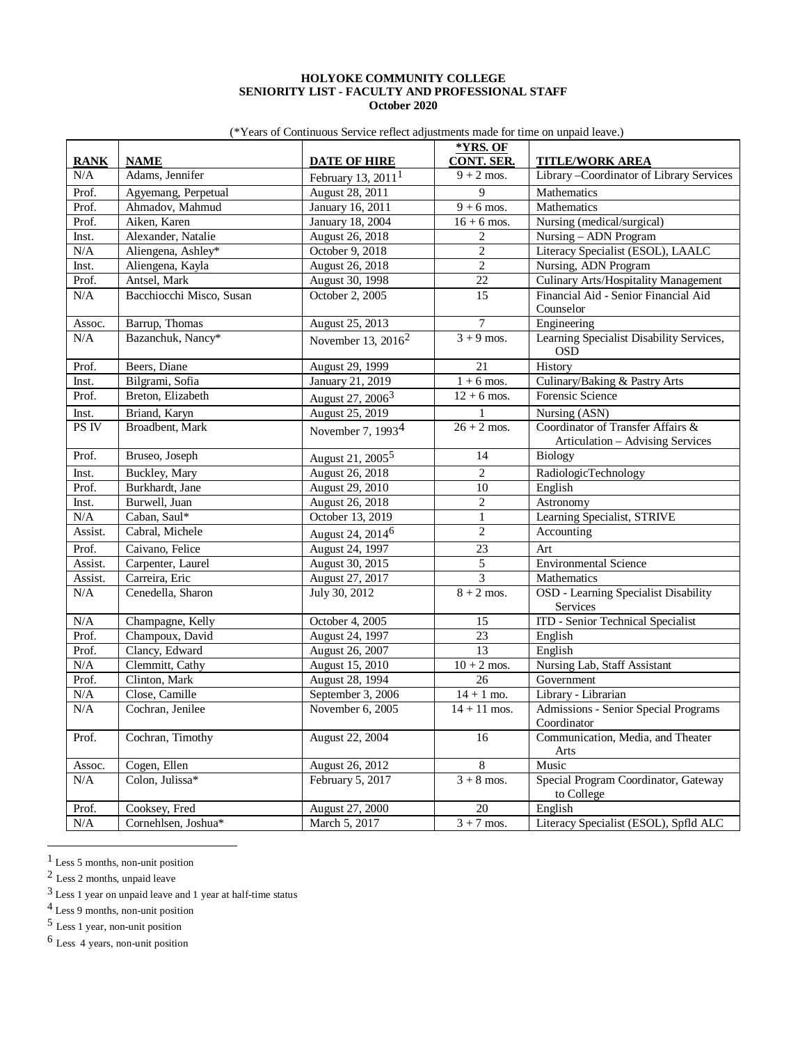## **HOLYOKE COMMUNITY COLLEGE SENIORITY LIST - FACULTY AND PROFESSIONAL STAFF October 2020**

(\*Years of Continuous Service reflect adjustments made for time on unpaid leave.)

| <b>RANK</b> | <b>NAME</b>              | <b>DATE OF HIRE</b>           | *YRS. OF<br><b>CONT. SER.</b> | <b>TITLE/WORK AREA</b>                                                |
|-------------|--------------------------|-------------------------------|-------------------------------|-----------------------------------------------------------------------|
| N/A         | Adams, Jennifer          | February 13, $20111$          | $\overline{9+2}$ mos.         | Library - Coordinator of Library Services                             |
| Prof.       | Agyemang, Perpetual      | August 28, 2011               | $\overline{9}$                | Mathematics                                                           |
| Prof.       | Ahmadov, Mahmud          | January 16, 2011              | $9 + 6$ mos.                  | Mathematics                                                           |
| Prof.       | Aiken, Karen             | January 18, 2004              | $16 + 6$ mos.                 | Nursing (medical/surgical)                                            |
| Inst.       | Alexander, Natalie       | August 26, 2018               | $\overline{c}$                | Nursing - ADN Program                                                 |
| N/A         | Aliengena, Ashley*       | October 9, 2018               | $\overline{c}$                | Literacy Specialist (ESOL), LAALC                                     |
| Inst.       | Aliengena, Kayla         | August 26, 2018               | $\overline{2}$                | Nursing, ADN Program                                                  |
| Prof.       | Antsel, Mark             | August 30, 1998               | 22                            | <b>Culinary Arts/Hospitality Management</b>                           |
| N/A         | Bacchiocchi Misco, Susan | October 2, 2005               | 15                            | Financial Aid - Senior Financial Aid<br>Counselor                     |
| Assoc.      | Barrup, Thomas           | August 25, 2013               | 7                             | Engineering                                                           |
| N/A         | Bazanchuk, Nancy*        | November 13, $2016^2$         | $3 + 9$ mos.                  | Learning Specialist Disability Services,<br><b>OSD</b>                |
| Prof.       | Beers, Diane             | August 29, 1999               | 21                            | History                                                               |
| Inst.       | Bilgrami, Sofia          | January 21, 2019              | $1 + 6$ mos.                  | Culinary/Baking & Pastry Arts                                         |
| Prof.       | Breton, Elizabeth        | August 27, 2006 <sup>3</sup>  | $12 + 6$ mos.                 | <b>Forensic Science</b>                                               |
| Inst.       | Briand, Karyn            | August 25, 2019               | 1                             | Nursing (ASN)                                                         |
| PS IV       | Broadbent, Mark          | November 7, 1993 <sup>4</sup> | $26 + 2$ mos.                 | Coordinator of Transfer Affairs &<br>Articulation – Advising Services |
| Prof.       | Bruseo, Joseph           | August 21, 2005 <sup>5</sup>  | 14                            | Biology                                                               |
| Inst.       | Buckley, Mary            | August 26, 2018               | $\overline{2}$                | RadiologicTechnology                                                  |
| Prof.       | Burkhardt, Jane          | August 29, 2010               | 10                            | English                                                               |
| Inst.       | Burwell, Juan            | August 26, 2018               | $\overline{c}$                | A <sub>st</sub> ronomy                                                |
| N/A         | Caban, Saul*             | October 13, 2019              | $\mathbf{1}$                  | Learning Specialist, STRIVE                                           |
| Assist.     | Cabral, Michele          | August 24, 2014 <sup>6</sup>  | $\overline{c}$                | Accounting                                                            |
| Prof.       | Caivano, Felice          | August 24, 1997               | $\overline{23}$               | Art                                                                   |
| Assist.     | Carpenter, Laurel        | August 30, 2015               | 5                             | <b>Environmental Science</b>                                          |
| Assist.     | Carreira, Eric           | August 27, 2017               | $\overline{3}$                | Mathematics                                                           |
| N/A         | Cenedella, Sharon        | July 30, 2012                 | $8 + 2$ mos.                  | OSD - Learning Specialist Disability<br>Services                      |
| N/A         | Champagne, Kelly         | October 4, 2005               | 15                            | <b>ITD</b> - Senior Technical Specialist                              |
| Prof.       | Champoux, David          | August 24, 1997               | 23                            | English                                                               |
| Prof.       | Clancy, Edward           | August 26, 2007               | 13                            | English                                                               |
| N/A         | Clemmitt, Cathy          | August 15, 2010               | $\overline{10 + 2}$ mos.      | Nursing Lab, Staff Assistant                                          |
| Prof.       | Clinton, Mark            | August 28, 1994               | 26                            | Government                                                            |
| N/A         | Close, Camille           | September 3, 2006             | $14 + 1$ mo.                  | Library - Librarian                                                   |
| N/A         | Cochran, Jenilee         | November 6, 2005              | $14 + 11$ mos.                | Admissions - Senior Special Programs<br>Coordinator                   |
| Prof.       | Cochran, Timothy         | August 22, 2004               | 16                            | Communication, Media, and Theater<br>Arts                             |
| Assoc.      | Cogen, Ellen             | August 26, 2012               | 8                             | Music                                                                 |
| N/A         | Colon, Julissa*          | February 5, 2017              | $3 + 8$ mos.                  | Special Program Coordinator, Gateway<br>to College                    |
| Prof.       | Cooksey, Fred            | August 27, 2000               | 20                            | English                                                               |
| N/A         | Cornehlsen, Joshua*      | March 5, 2017                 | $3 + 7$ mos.                  | Literacy Specialist (ESOL), Spfld ALC                                 |

<span id="page-0-0"></span> <sup>1</sup> Less 5 months, non-unit position

<span id="page-0-3"></span>4 Less 9 months, non-unit position

<span id="page-0-4"></span>5 Less 1 year, non-unit position

<span id="page-0-5"></span>6 Less 4 years, non-unit position

<span id="page-0-1"></span> $^2$  Less 2 months, unpaid leave

<span id="page-0-2"></span><sup>3</sup> Less 1 year on unpaid leave and 1 year at half-time status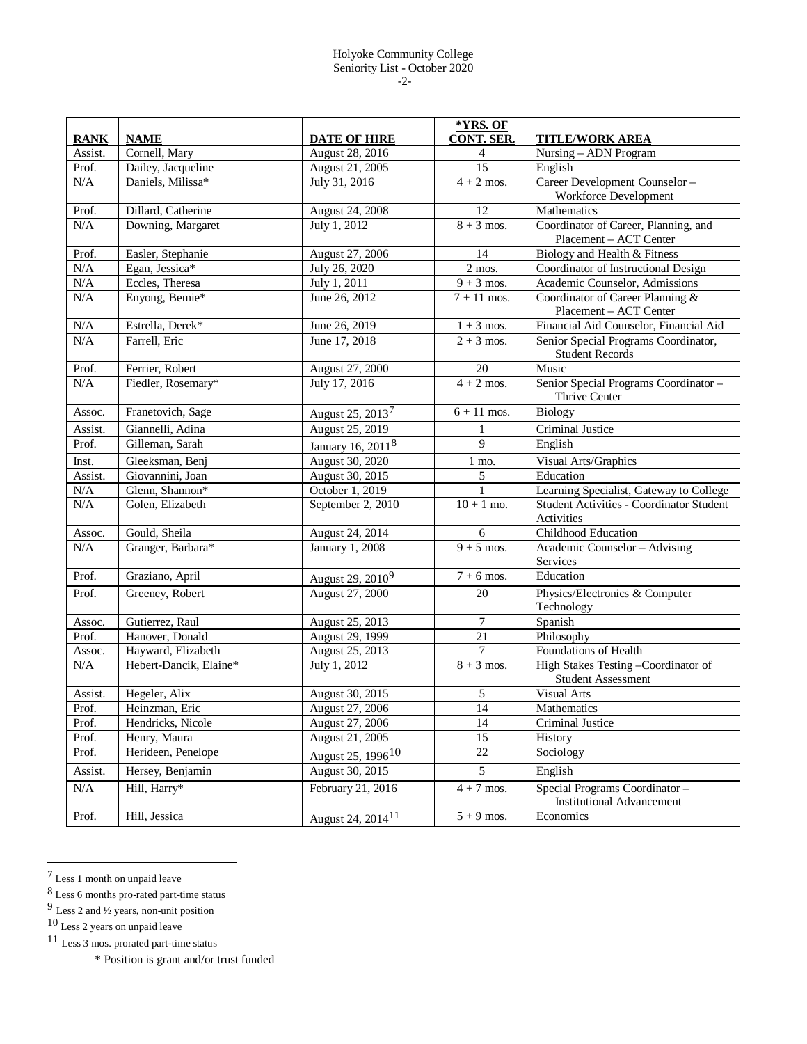|             |                        |                               | *YRS. OF            |                                                                   |
|-------------|------------------------|-------------------------------|---------------------|-------------------------------------------------------------------|
| <b>RANK</b> | <b>NAME</b>            | <b>DATE OF HIRE</b>           | <b>CONT. SER.</b>   | <b>TITLE/WORK AREA</b>                                            |
| Assist.     | Cornell, Mary          | August 28, 2016               | $\overline{4}$      | Nursing - ADN Program                                             |
| Prof.       | Dailey, Jacqueline     | August 21, 2005               | 15                  | English                                                           |
| N/A         | Daniels, Milissa*      | July 31, 2016                 | $4 + 2$ mos.        | Career Development Counselor-<br>Workforce Development            |
| Prof.       | Dillard, Catherine     | August 24, 2008               | 12                  | Mathematics                                                       |
| N/A         | Downing, Margaret      | July 1, 2012                  | $8 + 3$ mos.        | Coordinator of Career, Planning, and<br>Placement - ACT Center    |
| Prof.       | Easler, Stephanie      | August 27, 2006               | 14                  | Biology and Health & Fitness                                      |
| N/A         | Egan, Jessica*         | July 26, 2020                 | $\overline{2}$ mos. | Coordinator of Instructional Design                               |
| N/A         | Eccles, Theresa        | July 1, 2011                  | $9 + 3$ mos.        | Academic Counselor, Admissions                                    |
| N/A         | Enyong, Bemie*         | June 26, 2012                 | $7 + 11$ mos.       | Coordinator of Career Planning &<br>Placement - ACT Center        |
| $\rm N/A$   | Estrella, Derek*       | June 26, 2019                 | $1 + 3$ mos.        | Financial Aid Counselor, Financial Aid                            |
| N/A         | Farrell, Eric          | June 17, 2018                 | $2 + 3$ mos.        | Senior Special Programs Coordinator,<br><b>Student Records</b>    |
| Prof.       | Ferrier, Robert        | August 27, 2000               | 20                  | Music                                                             |
| N/A         | Fiedler, Rosemary*     | July 17, 2016                 | $4 + 2$ mos.        | Senior Special Programs Coordinator -<br>Thrive Center            |
| Assoc.      | Franetovich, Sage      | August 25, 2013 <sup>7</sup>  | $6 + 11$ mos.       | <b>Biology</b>                                                    |
| Assist.     | Giannelli, Adina       | August 25, 2019               | 1                   | Criminal Justice                                                  |
| Prof.       | Gilleman, Sarah        | January 16, 2011 <sup>8</sup> | $\mathbf Q$         | English                                                           |
| Inst.       | Gleeksman, Benj        | August 30, 2020               | $1$ mo.             | Visual Arts/Graphics                                              |
| Assist.     | Giovannini, Joan       | August 30, 2015               | 5                   | Education                                                         |
| $\rm N/A$   | Glenn, Shannon*        | October 1, 2019               | $\mathbf{1}$        | Learning Specialist, Gateway to College                           |
| N/A         | Golen, Elizabeth       | September 2, 2010             | $10 + 1$ mo.        | Student Activities - Coordinator Student<br>Activities            |
| Assoc.      | Gould, Sheila          | August 24, 2014               | 6                   | Childhood Education                                               |
| N/A         | Granger, Barbara*      | January 1, 2008               | $9 + 5$ mos.        | Academic Counselor - Advising<br>Services                         |
| Prof.       | Graziano, April        | August 29, 2010 <sup>9</sup>  | $7 + 6$ mos.        | Education                                                         |
| Prof.       | Greeney, Robert        | August 27, 2000               | 20                  | Physics/Electronics & Computer<br>Technology                      |
| Assoc.      | Gutierrez, Raul        | August 25, 2013               | 7                   | Spanish                                                           |
| Prof.       | Hanover, Donald        | August 29, 1999               | 21                  | Philosophy                                                        |
| Assoc.      | Hayward, Elizabeth     | August 25, 2013               | 7                   | Foundations of Health                                             |
| N/A         | Hebert-Dancik, Elaine* | July 1, 2012                  | $8 + 3$ mos.        | High Stakes Testing -Coordinator of<br><b>Student Assessment</b>  |
| Assist.     | Hegeler, Alix          | August 30, 2015               | 5                   | <b>Visual Arts</b>                                                |
| Prof.       | Heinzman, Eric         | August 27, 2006               | 14                  | Mathematics                                                       |
| Prof.       | Hendricks, Nicole      | August 27, 2006               | 14                  | Criminal Justice                                                  |
| Prof.       | Henry, Maura           | August 21, 2005               | 15                  | History                                                           |
| Prof.       | Herideen, Penelope     | August 25, 1996 <sup>10</sup> | 22                  | Sociology                                                         |
| Assist.     | Hersey, Benjamin       | August 30, 2015               | 5                   | English                                                           |
| $\rm N/A$   | Hill, Harry*           | February 21, 2016             | $4 + 7$ mos.        | Special Programs Coordinator-<br><b>Institutional Advancement</b> |
| Prof.       | Hill, Jessica          | August 24, 2014 <sup>11</sup> | $5 + 9$ mos.        | Economics                                                         |

<span id="page-1-0"></span> ${\rm 7}$  Less 1 month on unpaid leave

<span id="page-1-1"></span><sup>8</sup> Less 6 months pro-rated part-time status

<span id="page-1-2"></span> $9$  Less 2 and  $\frac{1}{2}$  years, non-unit position

<sup>10</sup> Less 2 years on unpaid leave

<span id="page-1-4"></span><span id="page-1-3"></span><sup>11</sup> Less 3 mos. prorated part-time status

<sup>\*</sup> Position is grant and/or trust funded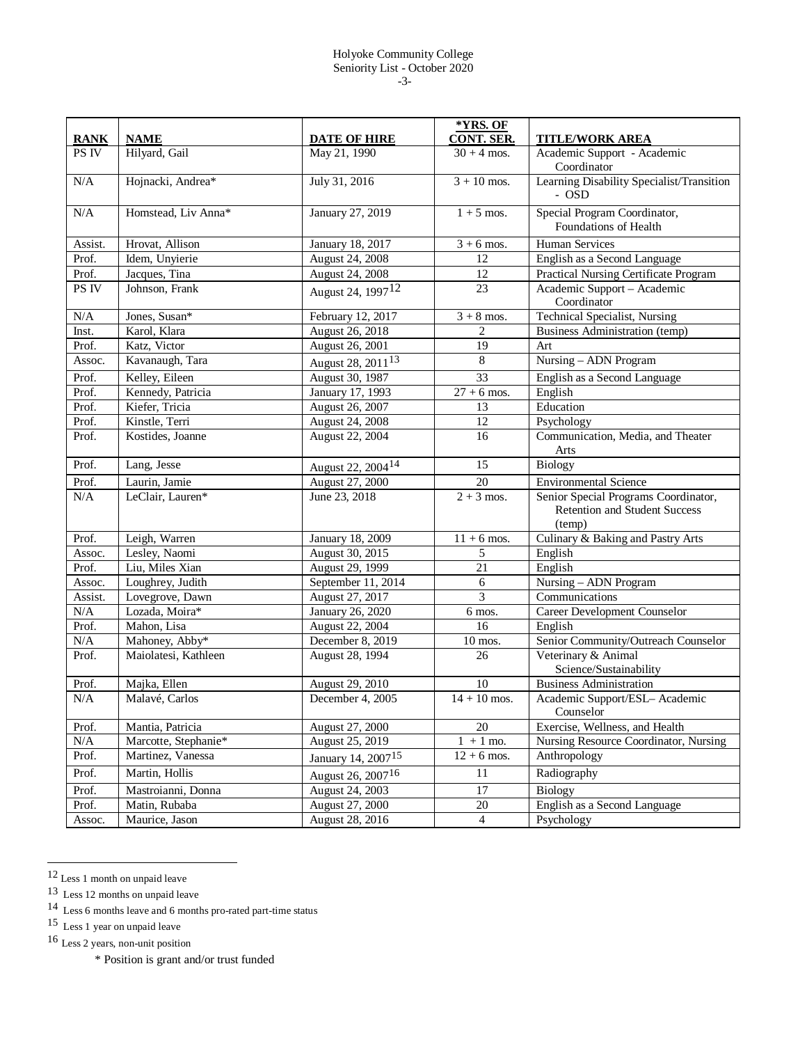## Holyoke Community College Seniority List - October 2020 -3-

|                      |                              |                                     | *YRS. OF<br><b>CONT. SER.</b> |                                                                                        |
|----------------------|------------------------------|-------------------------------------|-------------------------------|----------------------------------------------------------------------------------------|
| <b>RANK</b><br>PS IV | <b>NAME</b><br>Hilyard, Gail | <b>DATE OF HIRE</b><br>May 21, 1990 | $30 + 4$ mos.                 | <b>TITLE/WORK AREA</b><br>Academic Support - Academic                                  |
|                      |                              |                                     |                               | Coordinator                                                                            |
| N/A                  | Hojnacki, Andrea*            | July 31, 2016                       | $3 + 10$ mos.                 | Learning Disability Specialist/Transition<br>- OSD                                     |
| N/A                  | Homstead, Liv Anna*          | January 27, 2019                    | $1 + 5$ mos.                  | Special Program Coordinator,<br>Foundations of Health                                  |
| Assist.              | Hrovat, Allison              | January 18, 2017                    | $3 + 6$ mos.                  | <b>Human Services</b>                                                                  |
| Prof.                | Idem, Unyierie               | August 24, 2008                     | 12                            | English as a Second Language                                                           |
| Prof.                | Jacques, Tina                | August 24, 2008                     | 12                            | Practical Nursing Certificate Program                                                  |
| PS IV                | Johnson, Frank               | August 24, 1997 <sup>12</sup>       | 23                            | Academic Support - Academic<br>Coordinator                                             |
| N/A                  | Jones, Susan*                | February 12, 2017                   | $3 + 8$ mos.                  | <b>Technical Specialist, Nursing</b>                                                   |
| Inst.                | Karol, Klara                 | August 26, 2018                     | $\overline{2}$                | <b>Business Administration (temp)</b>                                                  |
| Prof.                | Katz, Victor                 | August 26, 2001                     | 19                            | Art                                                                                    |
| Assoc.               | Kavanaugh, Tara              | August 28, 2011 <sup>13</sup>       | 8                             | Nursing - ADN Program                                                                  |
| Prof.                | Kelley, Eileen               | August 30, 1987                     | $\overline{33}$               | English as a Second Language                                                           |
| Prof.                | Kennedy, Patricia            | January 17, 1993                    | $27 + 6$ mos.                 | English                                                                                |
| Prof.                | Kiefer, Tricia               | August 26, 2007                     | 13                            | Education                                                                              |
| Prof.                | Kinstle, Terri               | August 24, 2008                     | 12                            | Psychology                                                                             |
| Prof.                | Kostides, Joanne             | August 22, 2004                     | 16                            | Communication, Media, and Theater<br>Arts                                              |
| Prof.                | Lang, Jesse                  | August 22, 2004 <sup>14</sup>       | 15                            | Biology                                                                                |
| Prof.                | Laurin, Jamie                | August 27, 2000                     | 20                            | <b>Environmental Science</b>                                                           |
| N/A                  | LeClair, Lauren*             | June 23, 2018                       | $2 + 3$ mos.                  | Senior Special Programs Coordinator,<br><b>Retention and Student Success</b><br>(temp) |
| Prof.                | Leigh, Warren                | January 18, 2009                    | $11 + 6$ mos.                 | Culinary & Baking and Pastry Arts                                                      |
| Assoc.               | Lesley, Naomi                | August 30, 2015                     | 5                             | English                                                                                |
| Prof.                | Liu, Miles Xian              | August 29, 1999                     | $\overline{21}$               | English                                                                                |
| Assoc.               | Loughrey, Judith             | September 11, 2014                  | $\sqrt{6}$                    | Nursing - ADN Program                                                                  |
| Assist.              | Lovegrove, Dawn              | August 27, 2017                     | $\overline{3}$                | Communications                                                                         |
| N/A                  | Lozada, Moira*               | January 26, 2020                    | 6 mos.                        | <b>Career Development Counselor</b>                                                    |
| Prof.                | Mahon, Lisa                  | August 22, 2004                     | 16                            | English                                                                                |
| N/A                  | Mahoney, Abby*               | December 8, 2019                    | $10$ mos.                     | Senior Community/Outreach Counselor                                                    |
| Prof.                | Maiolatesi, Kathleen         | August 28, 1994                     | 26                            | Veterinary & Animal<br>Science/Sustainability                                          |
| Prof.                | Majka, Ellen                 | August 29, 2010                     | 10                            | <b>Business Administration</b>                                                         |
| N/A                  | Malavé, Carlos               | December 4, 2005                    | $14 + 10$ mos.                | Academic Support/ESL- Academic<br>Counselor                                            |
| Prof.                | Mantia, Patricia             | August 27, 2000                     | 20                            | Exercise, Wellness, and Health                                                         |
| $\rm N/A$            | Marcotte, Stephanie*         | August 25, 2019                     | $1 + 1$ mo.                   | Nursing Resource Coordinator, Nursing                                                  |
| Prof.                | Martinez, Vanessa            | January 14, 2007 <sup>15</sup>      | $12 + 6$ mos.                 | Anthropology                                                                           |
| Prof.                | Martin, Hollis               | August 26, 2007 <sup>16</sup>       | 11                            | Radiography                                                                            |
| Prof.                | Mastroianni, Donna           | August 24, 2003                     | 17                            | Biology                                                                                |
| Prof.                | Matin, Rubaba                | August 27, 2000                     | $20\,$                        | English as a Second Language                                                           |
| Assoc.               | Maurice, Jason               | August 28, 2016                     | $\overline{4}$                | Psychology                                                                             |

<span id="page-2-1"></span><span id="page-2-0"></span> <sup>12</sup> Less 1 month on unpaid leave

<sup>13</sup> Less 12 months on unpaid leave

<span id="page-2-2"></span><sup>14</sup> Less 6 months leave and 6 months pro-rated part-time status

<sup>15</sup> Less 1 year on unpaid leave

<span id="page-2-4"></span><span id="page-2-3"></span><sup>16</sup> Less 2 years, non-unit position

<sup>\*</sup> Position is grant and/or trust funded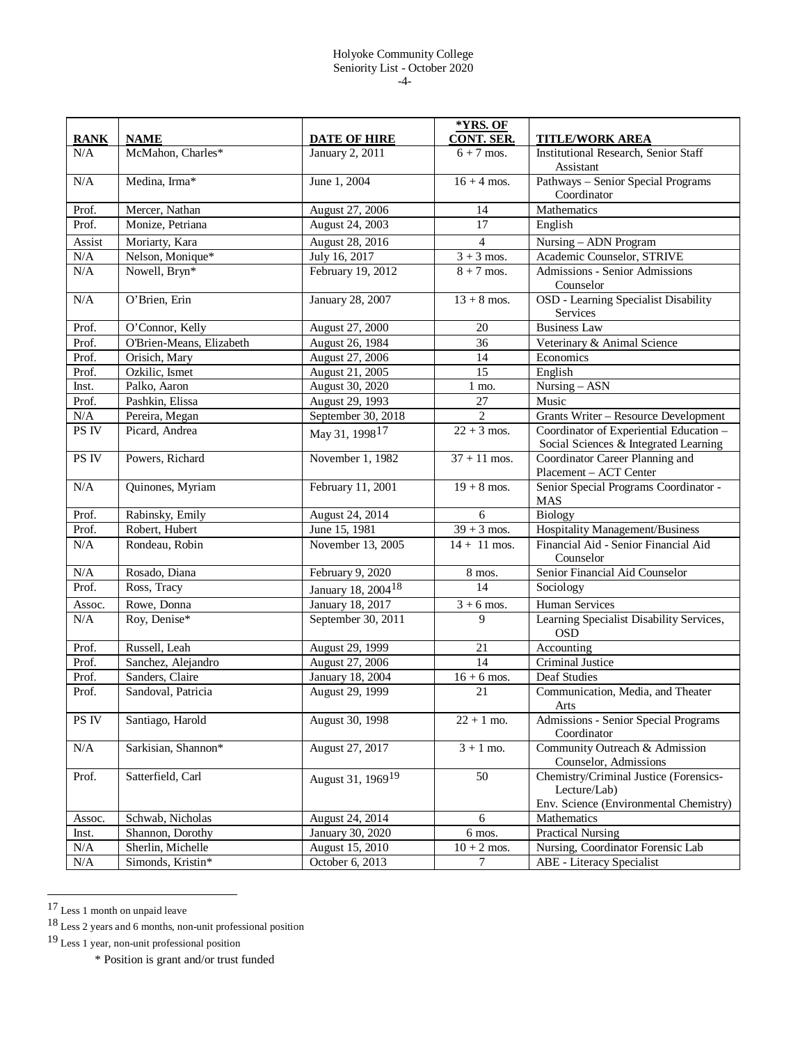## Holyoke Community College Seniority List - October 2020 -4-

| <b>RANK</b> | <b>NAME</b>              | <b>DATE OF HIRE</b>            | *YRS. OF<br>CONT. SER.   | TITLE/WORK AREA                                                                                  |
|-------------|--------------------------|--------------------------------|--------------------------|--------------------------------------------------------------------------------------------------|
| N/A         | McMahon, Charles*        | January 2, 2011                | $6 + 7$ mos.             | <b>Institutional Research, Senior Staff</b><br>Assistant                                         |
| N/A         | Medina, Irma*            | June 1, 2004                   | $16 + 4$ mos.            | Pathways - Senior Special Programs<br>Coordinator                                                |
| Prof.       | Mercer, Nathan           | August 27, 2006                | 14                       | Mathematics                                                                                      |
| Prof.       | Monize, Petriana         | August 24, 2003                | $\overline{17}$          | English                                                                                          |
| Assist      | Moriarty, Kara           | August 28, 2016                | $\overline{4}$           | Nursing - ADN Program                                                                            |
| N/A         | Nelson, Monique*         | July 16, 2017                  | $3 + 3$ mos.             | Academic Counselor, STRIVE                                                                       |
| N/A         | Nowell, Bryn*            | February 19, 2012              | $8 + 7$ mos.             | <b>Admissions - Senior Admissions</b><br>Counselor                                               |
| N/A         | O'Brien, Erin            | January 28, 2007               | $13 + 8$ mos.            | OSD - Learning Specialist Disability<br>Services                                                 |
| Prof.       | O'Connor, Kelly          | August 27, 2000                | 20                       | <b>Business Law</b>                                                                              |
| Prof.       | O'Brien-Means, Elizabeth | August 26, 1984                | $\overline{36}$          | Veterinary & Animal Science                                                                      |
| Prof.       | Orisich, Mary            | August 27, 2006                | 14                       | Economics                                                                                        |
| Prof.       | Ozkilic, Ismet           | August 21, 2005                | $\overline{15}$          | English                                                                                          |
| Inst.       | Palko, Aaron             | August 30, 2020                | 1 mo.                    | $\overline{\text{Nursing}} - \text{ASN}$                                                         |
| Prof.       | Pashkin, Elissa          | August 29, 1993                | 27                       | Music                                                                                            |
| N/A         | Pereira, Megan           | September 30, 2018             | $\overline{2}$           | <b>Grants Writer - Resource Development</b>                                                      |
| PS IV       | Picard, Andrea           | May 31, 1998 <sup>17</sup>     | $22 + 3$ mos.            | Coordinator of Experiential Education -<br>Social Sciences & Integrated Learning                 |
| PS IV       | Powers, Richard          | November 1, 1982               | $37 + 11$ mos.           | Coordinator Career Planning and<br>Placement - ACT Center                                        |
| N/A         | Quinones, Myriam         | February 11, 2001              | $19 + 8$ mos.            | Senior Special Programs Coordinator -<br><b>MAS</b>                                              |
| Prof.       | Rabinsky, Emily          | August 24, 2014                | 6                        | Biology                                                                                          |
| Prof.       | Robert, Hubert           | June 15, 1981                  | $\overline{39} + 3$ mos. | Hospitality Management/Business                                                                  |
| N/A         | Rondeau, Robin           | November 13, 2005              | $14 + 11$ mos.           | Financial Aid - Senior Financial Aid<br>Counselor                                                |
| N/A         | Rosado, Diana            | February 9, 2020               | 8 mos.                   | Senior Financial Aid Counselor                                                                   |
| Prof.       | Ross, Tracy              | January 18, 2004 <sup>18</sup> | 14                       | Sociology                                                                                        |
| Assoc.      | Rowe, Donna              | January 18, 2017               | $3 + 6$ mos.             | <b>Human Services</b>                                                                            |
| N/A         | Roy, Denise*             | September 30, 2011             | 9                        | Learning Specialist Disability Services,<br><b>OSD</b>                                           |
| Prof.       | Russell, Leah            | August 29, 1999                | 21                       | Accounting                                                                                       |
| Prof.       | Sanchez, Alejandro       | August 27, 2006                | 14                       | Criminal Justice                                                                                 |
| Prof.       | Sanders, Claire          | <b>January 18, 2004</b>        | $16 + 6$ mos.            | <b>Deaf Studies</b>                                                                              |
| Prof.       | Sandoval, Patricia       | August 29, 1999                | 21                       | Communication, Media, and Theater<br>Arts                                                        |
| PS IV       | Santiago, Harold         | August 30, 1998                | $22 + 1$ mo.             | Admissions - Senior Special Programs<br>Coordinator                                              |
| N/A         | Sarkisian, Shannon*      | August 27, 2017                | $3 + 1$ mo.              | Community Outreach & Admission<br>Counselor, Admissions                                          |
| Prof.       | Satterfield, Carl        | August 31, 1969 <sup>19</sup>  | 50                       | Chemistry/Criminal Justice (Forensics-<br>Lecture/Lab)<br>Env. Science (Environmental Chemistry) |
| Assoc.      | Schwab, Nicholas         | August 24, 2014                | 6                        | Mathematics                                                                                      |
| Inst.       | Shannon, Dorothy         | January 30, 2020               | 6 mos.                   | Practical Nursing                                                                                |
| $\rm N/A$   | Sherlin, Michelle        | August 15, 2010                | $10 + 2$ mos.            | Nursing, Coordinator Forensic Lab                                                                |
| N/A         | Simonds, Kristin*        | October 6, 2013                | 7                        | ABE - Literacy Specialist                                                                        |

<span id="page-3-0"></span> <sup>17</sup> Less 1 month on unpaid leave

<span id="page-3-1"></span><sup>18</sup> Less 2 years and 6 months, non-unit professional position

<span id="page-3-2"></span><sup>19</sup> Less 1 year, non-unit professional position

<sup>\*</sup> Position is grant and/or trust funded